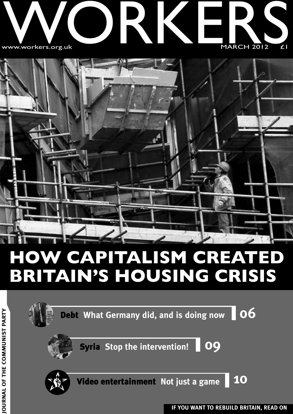



### **HOW CAPITALISM CREATED BRITAIN'S HOUSING CRISIS**

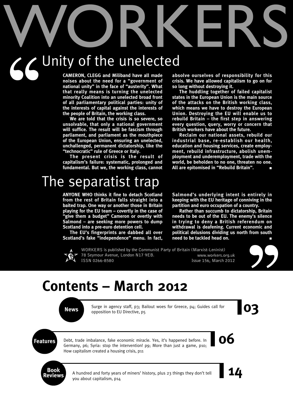# WORKERS Unity of the unelected  $96$

**CAMERON, CLEGG and Miliband have all made noises about the need for a "government of national unity" in the face of "austerity". What that really means is turning the unelected minority Coalition into an unelected broad front of all parliamentary political parties: unity of the interests of capital against the interests of the people of Britain, the working class.**

**We are told that the crisis is so severe, so unsolvable, that only a national government will suffice. The result will be fascism through parliament, and parliament as the mouthpiece of the European Union, ensuring an unelected, unchallenged, permanent dictatorship, like the "technocratic" rule of Greece or Italy.**

**The present crisis is the result of capitalism's failure: systematic, prolonged and fundamental. But we, the working class, cannot**

### The separatist trap

**ANYONE WHO thinks it fine to detach Scotland from the rest of Britain falls straight into a baited trap. One way or another those in Britain playing for the EU team – covertly in the case of "give them a budget" Cameron or overtly with Salmond – are seeking more powers to dump Scotland into a pre-euro detention cell.**

**The EU's fingerprints are dabbed all over Scotland's fake "independence" menu. In fact,**

**absolve ourselves of responsibility for this crisis. We have allowed capitalism to go on for so long without destroying it.**

**The huddling together of failed capitalist states in the European Union is the main source of the attacks on the British working class, which means we have to destroy the European Union. Destroying the EU will enable us to rebuild Britain – the first step in answering every question, query, worry or concern that British workers have about the future.**

**Reclaim our national assets, rebuild our industrial base, re-establish our health, education and housing services, create employment, rebuild infrastructure, abolish unemployment and underemployment, trade with the world, be beholden to no one, threaten no one. All are epitomised in "Rebuild Britain". ■**

**Salmond's underlying intent is entirely in keeping with the EU heritage of conniving in the partition and euro occupation of a country.**

**Rather than succumb to dictatorship, Britain needs to be out of the EU. The enemy's silence in trying to deny a British referendum on withdrawal is deafening. Current economic and political delusions dividing us north from south need to be tackled head on. ■**



WORKERS is published by the Communist Party of Britain (Marxist-Leninist) 78 Seymour Avenue, London N17 9EB. www.workers.org.uk ISSN 0266-8580 **ISSN** 0266-8580



### **Contents – March 2012**

**News** Surge in agency staff, p3; Bailout woes for Greece, p4; Guides call for opposition to EU Directive, p5 Surge in agency staff, p3; Bailout woes for Greece, p4; Guides call for opposition to EU Directive, p5

**Features** Debt, trade imbalance, fake economic miracle. Yes, it's happened before. In **COC** Debt, trade imbalance, fake economic miracle. Yes, it's happened before. In Germany, p6; Syria: stop the intervention! p9; More than just a game, p10; How capitalism created a housing crisis, p11



**Reviews** <sup>A</sup> hundred and forty years of miners' history, plus <sup>23</sup> things they don't tell **14** you about capitalism, p14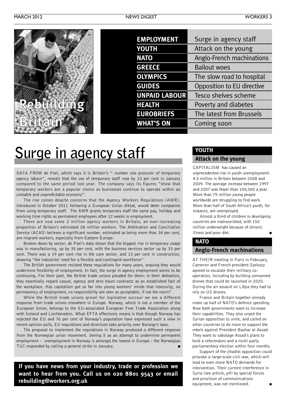| <b>EMPLOYMENT</b>    | Surge in agency staff      |
|----------------------|----------------------------|
| <b>YOUTH</b>         | Attack on the young        |
| <b>NATO</b>          | Anglo-French machinations  |
| <b>GREECE</b>        | <b>Bailout woes</b>        |
| <b>OLYMPICS</b>      | The slow road to hospital  |
| <b>GUIDES</b>        | Opposition to EU directive |
| <b>UNPAID LABOUR</b> | Tesco shelves scheme       |
| <b>HEALTH</b>        | Poverty and diabetes       |
| <b>EUROBRIEFS</b>    | The latest from Brussels   |
| <b>WHAT'S ON</b>     | Coming soon                |
|                      |                            |

### **Surge in agency staff**

DATA FROM de Poel, which says it is Britain's " number one procurer of temporary agency labour", reveals that the use of temporary staff rose by 13 per cent in January compared to the same period last year. The company says its figures "show that temporary workers are a popular choice as businesses continue to operate within an unstable and unpredictable economy".

The rise comes despite concerns that the Agency Workers Regulations (AWR), introduced in October 2011 following a European Union diktat, would deter companies from using temporary staff. The AWR grants temporary staff the same pay, holiday and working time rights as permanent employees after 12 weeks in employment.

There are now some 2 million agency workers in Britain, an ever-increasing proportion of Britain's estimated 28 million workers. The Arbitration and Conciliation Service (ACAS) believes a significant number, estimated as being more than 34 per cent, are migrant workers, especially from Eastern Europe.

Broken down by sector, de Poel's data shows that the biggest rise in temporary usage was in manufacturing, up by 35 per cent, with the business services sector up by 33 per cent. There was a 19 per cent rise in the care sector, and 13 per cent in construction, showing "the industries' need for a flexible and contingent workforce".

The British government resisted these regulations for many years, arguing they would undermine flexibility of employment. In fact, the surge in agency employment seems to be continuing. For their part, the British trade unions pleaded for them: in their defeatism, they essentially regard casual, agency and zero hours contracts as an established fact of the workplace. Has capitalism got so far into young workers' minds that insecurity, no permanency of employment, no responsibility are seen as acceptable, if not the norm?

While the British trade unions grovel for legislative succour we see a different response from trade unions elsewhere in Europe. Norway, which is not a member of the European Union, belongs to the EU-associated European Free Trade Association along with Iceland and Liechtenstein. What EFTA effectively means is that though Norway has rejected the EU and 76 per cent of Norway's population have expressed such a view in recent opinion polls, EU regulations and directives take priority over Norway's laws.

The proposal to implement the regulations in Norway produced a different response from the Norwegian union movement. Seeing it as an attempt to undermine permanent employment – unemployment in Norway is amongst the lowest in Europe – the Norwegian TUC responded by calling a general strike in January. **■**

**If you have news from your industry, trade or profession we want to hear from you. Call us on 020 8801 9543 or email rebuilding@workers.org.uk**

#### **YOUTH**

#### **Attack on the young**

CAPITALISM has caused an unprecedented rise in youth unemployment: 4.5 million in Britain between 2008 and 2009. The average increase between 1997 and 2007 was fewer than 100,000 a year. More than 75 million young people worldwide are struggling to find work. More than half of South Africa's youth, for instance, are unemployed.

Almost a third of children in developing countries are malnourished, with 150 million underweight because of chronic illness and poor diet.

#### **NATO**

#### **Anglo-French machinations**

AT THEIR meeting in Paris in February, Cameron and French president Sarkozy agreed to escalate their military cooperation, including by building unmanned drones that could be launched in 2020. During the air assault on Libya they had to rely on US drones.

France and Britain together already make up half of NATO's defence spending. Now both governments want to increase their capabilities. They also urged the Syrian opposition to unite, and called on other countries to do more to support the rebels against President Bashar al-Assad. They want to sabotage Assad's plans to hold a referendum and a multi-party parliamentary election within four months.

Support of the jihadist opposition could provoke a large-scale civil war, which will lead to even more NATO demands for intervention. Their current interference in Syria (see article, p9) by special forces and provision of communications equipment, was not mentioned.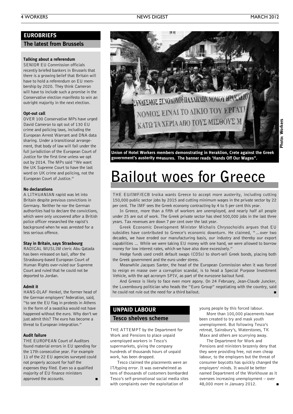#### **EUROBRIEFS**

#### **The latest from Brussels**

#### **Talking about a referendum**

SENIOR EU Commission officials recently briefed bankers in Brussels that there is a growing belief that Britain will have to hold a referendum on EU membership by 2020. They think Cameron will have to include such a promise in the Conservative election manifesto to win an outright majority in the next election.

#### **Opt-out call**

OVER 100 Conservative MPs have urged David Cameron to opt out of 130 EU crime and policing laws, including the European Arrest Warrant and DNA data sharing. Under a transitional arrangement, that body of law will fall under the full jurisdiction of the European Court of Justice for the first time unless we opt out by 2014. The MPs said "We want the UK Supreme Court to have the last word on UK crime and policing, not the European Court of Justice."

#### **No declarations**

A LITHUANIAN rapist was let into Britain despite previous convictions in Germany. Neither he nor the German authorities had to declare the convictions, which were only uncovered after a British police officer researched the rapist's background when he was arrested for a less serious offence.

#### **Stay in Britain, says Strasbourg**

RADICAL MUSLIM cleric Abu Qatada has been released on bail, after the Strasbourg-based European Court of Human Rights over-ruled our Supreme Court and ruled that he could not be deported to Jordan.

#### **Admit it**

HANS-OLAF Henkel, the former head of the German employers' federation, said, "to see the EU flag in protests in Athens in the form of a swastika would not have happened without the euro. Why don't we just admit this? The euro has become a threat to European integration."

#### **Audit failure**

THE EUROPEAN Court of Auditors found material errors in EU spending for the 17th consecutive year. For example 11 of the 22 EU agencies surveyed could not properly account for half the expenses they filed. Even so a qualified majority of EU finance ministers approved the accounts.



**Union of Hotel Workers members demonstrating in Heraklion, Crete against the Greek government's austerity measures. The banner reads 'Hands Off Our Wages".**

### **Bailout woes for Greece**

THE EU/IMF/ECB troika wants Greece to accept more austerity, including cutting 150,000 public sector jobs by 2015 and cutting minimum wages in the private sector by 22 per cent. The IMF sees the Greek economy contracting by 4 to 5 per cent this year.

In Greece, more than a fifth of workers are unemployed, and nearly half all people under 25 are out of work. The Greek private sector has shed 500,000 jobs in the last three years. Tax revenues are down 7 per cent over the last year.

Greek Economic Development Minister Michalis Chrysochoidis argues that EU subsidies have contributed to Greece's economic downturn. He claimed, "…over two decades, we have eroded our manufacturing basis, our industry and thereby our export capabilities … While we were taking EU money with one hand, we were allowed to borrow money for low interest rates, which we have also done excessively."

Hedge funds used credit default swaps (CDSs) to short-sell Greek bonds, placing both the Greek government and the euro under stress.

Meanwhile Jacques Santer, the head of the European Commission when it was forced to resign en masse over a corruption scandal, is to head a Special Purpose Investment Vehicle, with the apt acronym SPIV, as part of the eurozone bailout fund.

And Greece is likely to face even more agony. On 24 February, Jean-Claude Juncker, the Luxembourg politician who heads the "Euro Group" negotiating with the country, said he could not rule out the need for a third bailout. **■**

#### **UNPAID LABOUR**

#### **Tesco shelves scheme**

THE ATTEMPT by the Department for Work and Pensions to place unpaid unemployed workers in Tesco's supermarkets, giving the company hundreds of thousands hours of unpaid work, has been dropped.

Tesco claimed the placements were an IT/typing error. It was overwhelmed as tens of thousands of customers bombarded Tesco's self-promotional social media sites with complaints over the exploitation of

young people by this forced labour.

More than 100,000 placements have been created to try and mask youth unemployment. But following Tesco's retreat, Sainsbury's, Waterstones, TK Maxx and others are scurrying away.

The Department for Work and Pensions and ministers brazenly deny that they were providing free, not even cheap labour, to the employers but the threat of consumer boycotts has quickly changed the employers' minds. It would be better named Department of the Workhouse as it oversees increasing unemployment – over 48,000 more in January 2012. **■**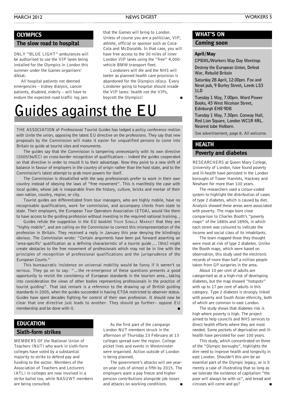#### **OLYMPICS**

#### **The slow road to hospital**

ONLY "BLUE LIGHT" ambulances will be authorised to use the VIP lanes being installed for the Olympics in London this summer under the Games organisers' diktat.

All hospital patients not deemed emergencies – kidney dialysis, cancer patients, disabled, elderly – will have to endure the expected road traffic log jam

that the Games will bring to London. Unless of course you are a politician, VIP, athlete, official or sponsor such as Coca-Cola and McDonalds. In that case, you will have free access to the 30 miles of inner London VIP lanes using the "free" 4,000 vehicle BMW transport fleet.

Londoners will die and the NHS will teeter as planned health care provision is abandoned for the Olympics idiocy. Every Londoner going to hospital should invade the VIP lanes: health not the VIPs, boycott the Olympics! **■**

### **Guides against the EU**

THE ASSOCIATION of Professional Tourist Guides has lodged a policy conference motion with Unite the union, opposing the latest EU directive on the professions. They say that new proposals by the Commission will make it easier for unqualified persons to come into Britain to guide at tourist sites and monuments.

The guides say that the Commission is tampering unnecessarily with its own directive (2005/36/EC) on cross-border recognition of qualifications – indeed the guides cooperated on that directive in order to mould it to their advantage. Now they point to a new shift of balance in favour of employers in the country of origin rather than the host state, and to the Commission's latest attempt to grab more powers for itself.

The Commission is dissatisfied with the way professionals prefer to work in their own country instead of obeying the laws of "free movement". This is manifestly the case with local guides, whose job is inseparable from the history, culture, bricks and mortar of their own nation, country, region, or city.

Tourist guides are differentiated from tour managers, who are highly mobile, have no recognisable qualifications, work for commission, and accompany clients from state to state. Their employers, the European Tour Operators Association (ETOA), would like them to have access to the guiding profession without investing in the required national training.,

Guides refute the suggestion in the EU booklet YOUR SINGLE MARKET that they are "highly mobile", and are calling on the Commission to correct this misrepresentation of the profession in Britain. They received a reply in January this year denying the blindingly obvious. The Commission wrote: "Certain arguments have been put forward asserting an 'area-specific' qualification as a defining characteristic of a tourist guide…. [this] might create obstacles to the free movement of professionals which may not be in line with the principles of recognition of professional qualifications and the jurisprudence of the European Courts."

This bureaucratic insistence on universal mobility would be funny if it weren't so serious. They go on to say: "…the re-emergence of these questions presents a good opportunity to revisit the consistency of European standards in the tourism area…taking into consideration the views of other bodies representing professionals in the practice of tourist guiding". That last remark is a reference to the drawing up of British guiding standards in 2005, when the guides succeeded in having ETOA restricted to observer status. Guides have spent decades fighting for control of their own profession. It should now be clear that one directive just leads to another. They should go further– oppose EU membership and be done with it. **■**

#### **EDUCATION**

#### **Sixth-form strikes**

MEMBERS OF the National Union of Teachers (NUT) who work in sixth-form colleges have voted by a substantial majority to strike to defend pay and funding to the sector. Members of the Association of Teachers and Lecturers (ATL) in colleges are now involved in a strike ballot too, while NASUWT members are being consulted.

As the first part of the campaign London NUT members struck in the afternoon of Thursday 23 February at 13 colleges spread over the region. College picket lines and events in Westminster were organised. Action outside of London is being planned.

The government's attacks will see yearon-year cuts of almost a fifth by 2015. The employers want a pay freeze and higher pension contributions alongside job losses and attacks on working conditions. **■**

#### **WHAT'S ON**

#### **Coming soon**

**War, Rebuild Britain**

#### **April/May**

**CPBML/Workers May Day Meetings Destroy the European Union, Defeat**

**Saturday 28 April, 12.00pm. Fox and Newt pub, 9 Burley Street, Leeds LS3 1LD**

**Tuesday 1 May, 7.00pm. Word Power Books, 43 West Nicolson Street, Edinburgh EH8 9DB**

**Tuesday 1 May, 7.30pm. Conway Hall, Red Lion Square, London WC1R 4RL. Nearest tube Holborn.**

See advertisement, page 8. All welcome.

#### **HEALTH**

#### **Poverty and diabetes**

RESEARCHERS at Queen Mary College, University of London, have found poverty and ill-health have persisted in the London boroughs of Tower Hamlets, Hackney and Newham for more than 100 years.

The researchers used a colour-coded system to highlight the distribution of cases of type 2 diabetes, which is caused by diet. Analysis showed these areas were associated with poverty. The maps bore close comparison to Charles Booth's "poverty maps" of the 1880s and 1890s, in which each street was coloured to indicate the income and social class of its inhabitants.

The team mapped those they thought were most at risk of type 2 diabetes. Unlike the Booth maps, which were based on observation, this study used the electronic records of more than half a million people taken from GP surgeries in the area.

About 10 per cent of adults are categorised as at a high-risk of developing diabetes, but the map showed "hotspots" with up to 17 per cent of adults in this category. Type 2 diabetes is strongly linked with poverty and South Asian ethnicity, both of which are common in east London.

The study shows that diabetes risk is high where poverty is high. The project aimed to help councils and NHS services to direct health efforts where they are most needed. Some pockets of deprivation and illhealth have persisted for over 100 years.

This study, which concentrated on three of the "Olympic boroughs", highlights the dire need to improve health and longevity in east London. Shouldn't this aim be an essential part of the Olympic legacy, or is it merely a case of illustrating that so long as we tolerate the existence of capitalism "the poor will always be with us", and bread and circuses will come and go?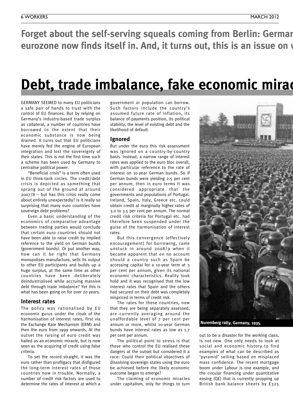Forget about the self-serving squeals coming from Berlin: Germar eurozone now finds itself in. And, it turns out, this is an issue on a

### **Debt, trade imbalance, fake economic miracle.**

GERMANY SEEMED to many EU politicians a safe pair of hands to trust with the control of EU finances. But by relying on Germany's industry-based trade surplus as collateral, a number of countries have borrowed to the extent that their economic substance is now being drained. It turns out that EU politicians have merely fed the engine of European integration and lost the sovereignty of their states. This is not the first time such a scheme has been used by Germany to centralise political power.

"Beneficial crisis" is a term often used in EU think-tank circles. The credit/debt crisis is depicted as something that sprang out of the ground at around 2007/8 – but has this crisis really come about entirely unexpectedly? Is it really so surprising that many euro countries have sovereign debt problems?

Even a basic understanding of the economics of comparative advantage between trading parties would conclude that certain euro countries should not have been able to raise credit by implied reference to the yield on German bunds (government bonds). Or put another way, how can it be right that Germany monopolises manufacture, sells its output to other EU participants and builds up a huge surplus, at the same time as other countries have been deliberately deindustrialised while accruing massive debt through trade imbalance? Yet this is what has been going on for over 20 years.

#### **Interest rates**

The policy was rationalised by EU economic gurus under the cloak of the harmonisation of interest rates, first via the Exchange Rate Mechanism (ERM) and then the euro from 1999 onwards. At the outset the raising of euro credit was hailed as an economic miracle, but is now seen as the acquiring of credit using false criteria.

To set the record straight, it was the euro rather than profligacy that disfigured the long-term interest rates of those countries now in trouble. Normally, a number of credit risk factors are used to determine the rates of interest at which a

government or population can borrow. Such factors include the country's assumed future rate of inflation, its balance of payments position, its political stability, the level of existing debt and the likelihood of default.

#### **Ignored**

But under the euro this risk assessment was ignored on a country-by-country basis. Instead, a narrow range of interest rates was applied to the euro bloc overall, with particular reference to the rate of interest on 10-year German bunds. So if German bunds were yielding 2.5 per cent per annum, then in euro terms it was considered appropriate that the governments and populations of Portugal, Ireland, Spain, Italy, Greece etc. could obtain credit at marginally higher rates of 3.0 to 3.5 per cent per annum. The normal credit risk criteria for Portugal etc. had therefore been suspended under the guise of the harmonisation of interest rates.

But this convergence (effectively encouragement) for borrowing, came unstuck in around 2008/9 when it became apparent that on no account should a country such as Spain be accessing capital for a 10-year term at 3 per cent per annum, given its national economic characteristics. Reality took hold and it was recognised that the low interest rates that Spain and the others had secured on their debt was completely mispriced in terms of credit risk.

The rates for these countries, now that they are being separately assessed, are currently averaging around the unaffordable level of 7 per cent per annum or more, whilst 10-year German bunds have interest rates as low as 1.7 per cent per annum.

The political point to stress is that those who control the EU realised these dangers at the outset but considered it a race: Could their political objectives of dissolving sovereign states using the euro be achieved before the likely economic outcome began to emerge?

The claiming of economic miracles under capitalism, only for things to turn



out to be a disaster for the working class, is not new. One only needs to look at social and economic history to find examples of what can be described as 'pyramid' selling based on misplaced mass confidence. The recent mortgage boom under Labour is one example, and the circular financing under quantitative easing (QE) that is currently propping up British bank balance sheets by £325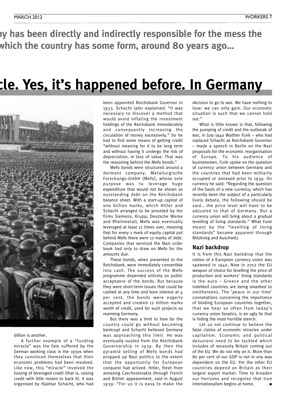ly has been directly and indirectly responsible for the mess the which the country has some form, around 80 years ago...

### **Debt, trade imbalance, fake economic miracle. Yes, it's happened before. In Germany**



#### billion is another.

A further example of a "funding miracle" was the fate suffered by the German working class in the 1930s when they convinced themselves that their economic problems had been resolved. Like now, this "miracle" involved the issuing of leveraged credit (that is, raising credit with little means to back it). It was organised by Hjalmar Schacht, who had

been appointed Reichsbank Governor in 1933. Schacht later explained: "It was necessary to discover a method that would avoid inflating the investment holdings of the Reichsbank immoderately and consequently increasing the circulation of money excessively." So he had to find some means of getting credit "without meaning for it to be long term and without having it undergo the risk of depreciation, ie loss of value. That was the reasoning behind the Mefo bonds."

Mefo bonds were structured around a dormant company, Metallurgische Forschungs-GmbH (Mefo), whose sole purpose was to leverage huge expenditure that would not be shown as outstanding debt on the Reichsbank balance sheet. With a start-up capital of one billion marks, which Hitler and Schacht arranged to be provided by the firms Siemens, Krupp, Deutsche Werke and Rheinmetall, Mefo was eventually leveraged at least 12 times over, meaning that for every 1 mark of equity capital put behind Mefo there were 12 marks of debt. Companies that serviced the Nazi order book had only to draw on Mefo for the amounts due.

These bonds, when presented to the Reichsbank, were immediately convertible into cash. The success of the Mefo programme depended entirely on public acceptance of the bonds. But because they were short-term issues that could be cashed at any time and bore interest at 4 per cent, the bonds were eagerly accepted and created 12 billion marks worth of credit, used for such projects as rearming Germany.

But there was a limit to how far the country could go without becoming bankrupt and Schacht believed Germany was approaching this limit. He was eventually ousted from the Reichsbank Governorship in 1939. By then the pyramid selling of Mefo bonds had propped up Nazi politics to the extent that the opportunity for European conquest had arrived. Hitler, fresh from annexing Czechoslovakia through French and British appeasement, said in August 1939: "For us it is easy to make the decision to go to war. We have nothing to lose: we can only gain. Our economic situation is such that we cannot hold out."

What is little known is that, following the pumping of credit and the outbreak of war, in July 1940 Walther Funk – who had replaced Schacht as Reichsbank Governor – made a speech in Berlin on the Nazi proposals for the economic reorganisation of Europe. To his audience of businessmen, Funk spoke on the question of currency union between Germany and the countries that had been militarily occupied or annexed prior to 1939. On currency he said: "Regarding the question of the basis of a new currency, which has recently been the subject of a particularly lively debate, the following should be said… the price level will have to be adjusted to that of Germany. But a currency union will bring about a gradual levelling of living standards." What Funk meant by the "levelling of living standards" became apparent through Blitzkrieg and Auschwitz.

#### **Nazi backdrop**

It is from this Nazi backdrop that the notion of a European currency union was spawned in 1940. Now in 2012 the EU weapon of choice for levelling the price of production and workers' living standards is the euro – Greece and the other indebted countries are being smashed to smithereens. The 'peace in our time' connotations concerning the importance of binding European countries together, that we hear so often from today's currency union fanatics, is an ugly lie that is hiding the most horrible stench.

Let us not continue to believe the false claims of economic miracles under capitalism. Economic and political delusions need to be tackled which includes of necessity Britain coming out of the EU. We do not rely on it. More than 80 per cent of our GDP is not in any way dependent on the EU. Yet the other EU countries depend on Britain as their largest export market. Time to broaden our horizons and recognise that true internationalism begins at home.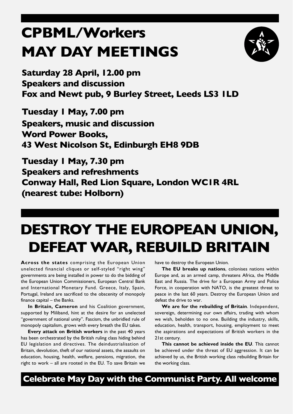### **CPBML/Workers MAY DAY MEETINGS**



**Saturday 28 April, 12.00 pm Speakers and discussion Fox and Newt pub, 9 Burley Street, Leeds LS3 1LD**

**Tuesday 1 May, 7.00 pm Speakers, music and discussion Word Power Books, 43 West Nicolson St, Edinburgh EH8 9DB**

**Tuesday 1 May, 7.30 pm Speakers and refreshments Conway Hall, Red Lion Square, London WC1R 4RL (nearest tube: Holborn)**

### **DESTROY THE EUROPEAN UNION, DEFEATWAR, REBUILD BRITAIN**

**Across the states** comprising the European Union unelected financial cliques or self-styled "right wing" governments are being installed in power to do the bidding of the European Union Commissioners, European Central Bank and International Monetary Fund. Greece, Italy, Spain, Portugal, Ireland are sacrificed to the obscenity of monopoly finance capital – the Banks.

**In Britain, Cameron** and his Coalition government, supported by Miliband, hint at the desire for an unelected "government of national unity". Fascism, the unbridled rule of monopoly capitalism, grows with every breath the EU takes.

**Every attack on British workers** in the past 40 years has been orchestrated by the British ruling class hiding behind EU legislation and directives. The deindustrialisation of Britain, devolution, theft of our national assets, the assaults on education, housing, health, welfare, pensions, migration, the right to work – all are rooted in the EU. To save Britain we

have to destroy the European Union.

**The EU breaks up nations**, colonises nations within Europe and, as an armed camp, threatens Africa, the Middle East and Russia. The drive for a European Army and Police Force, in cooperation with NATO, is the greatest threat to peace in the last 60 years. Destroy the European Union and defeat the drive to war.

**We are for the rebuilding of Britain**. Independent, sovereign, determining our own affairs, trading with whom we wish, beholden to no one. Building the industry, skills, education, health, transport, housing, employment to meet the aspirations and expectations of British workers in the 21st century.

**This cannot be achieved inside the EU**. This cannot be achieved under the threat of EU aggression. It can be achieved by us, the British working class rebuilding Britain for the working class.

**Celebrate May Day with the Communist Party. All welcome**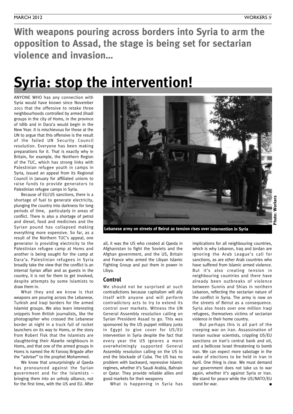**With weapons pouring across borders into Syria to arm the opposition to Assad, the stage is being set for sectarian violence and invasion…**

### **Syria: stop the intervention!**

ANYONE WHO has any connection with Syria would have known since November 2011 that the offensive to retake three neighbourhoods controlled by armed Jihadi groups in the city of Homs, in the province of Idlib and in Dara'a would begin in the New Year. It is mischievous for those at the UN to argue that this offensive is the result of the failed UN Security Council resolution. Everyone has been making preparations for it. That is exactly why in Britain, for example, the Northern Region of the TUC, which has strong links with Palestinian refugee youth in camps in Syria, issued an appeal from its Regional Council in January for affiliated unions to raise funds to provide generators to Palestinian refugee camps in Syria.

Because of EU/US sanctions, there is a shortage of fuel to generate electricity, plunging the country into darkness for long periods of time, particularly in areas of conflict. There is also a shortage of petrol and diesel, food and medicines and the Syrian pound has collapsed making everything more expensive. So far, as a result of the Northern TUC's appeal, one generator is providing electricity to the Palestinian refugee camp at Homs and another is being sought for the camp at Dara'a. Palestinian refugees in Syria broadly take the view that the conflict is an internal Syrian affair and as guests in the country, it is not for them to get involved, despite attempts by some Islamists to draw them in.

What they and we know is that weapons are pouring across the Lebanese, Turkish and Iraqi borders for the armed Islamist groups. We also learn interesting snippets from British journalists, like the photographer who crossed the Lebanese border at night in a truck full of rocket launchers on its way to Homs, or the story from Robert Fisk that the Islamists are slaughtering their Alawite neighbours in Homs, and that one of the armed groups in Homs is named the Al Farooq Brigade after the "adviser" to the prophet Mohammed.

We know that unsurprisingly al Qaeda has pronounced against the Syrian government and for the Islamists – bringing them into an unholy alliance, not for the first time, with the US and EU. After



**Lebanese army on streets of Beirut as tension rises over intervention in Syria**

all, it was the US who created al Qaeda in Afghanistan to fight the Soviets and the Afghan government, and the US, Britain and France who armed the Libyan Islamic Fighting Group and put them in power in Libya.

#### **Control**

We should not be surprised at such contradictions because capitalism will ally itself with anyone and will perform contradictory acts to try to extend its control over markets. Witness the UN General Assembly resolution calling on Syrian President Assad to go. This was sponsored by the US puppet military junta in Egypt to give cover for US/EU intervention in Syria despite the fact that every year the US ignores a more overwhelmingly supported General Assembly resolution calling on the US to end the blockade of Cuba. The US has no problem with backward, repressive Islamic regimes, whether it's Saudi Arabia, Bahrain or Qatar. They provide reliable allies and good markets for their weaponry

What is happening in Syria has

implications for all neighbouring countries, which is why Lebanon, Iraq and Jordan are ignoring the Arab League's call for sanctions, as are other Arab countries who have suffered from Islamic armed violence. But it's also creating tension in neighbouring countries and there have already been outbreaks of violence between Sunnis and Shias in northern Lebanon, reflecting the sectarian nature of the conflict in Syria. The army is now on the streets of Beirut as a consequence. Syria also hosts over one million Iraqi refugees, themselves victims of sectarian violence in their home country.

But perhaps this is all part of the creeping war on Iran. Assassination of Iranian nuclear scientists, crippling US/EU sanctions on Iran's central bank and oil, and a bellicose Israel threatening to bomb Iran. We can expect more sabotage in the wake of elections to be held in Iran in April. One thing is clear. We must demand our government does not take us to war again, whether it's against Syria or Iran. We stand for peace while the US/NATO/EU stand for war.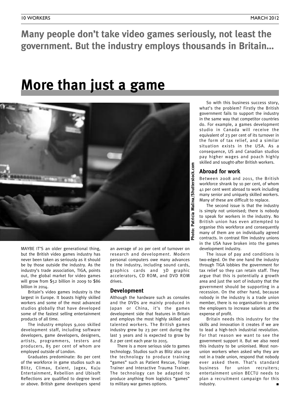#### **Many people don't take video games seriously, not least the government. But the industry employs thousands in Britain…**

### **More than just a game**



MAYBE IT'S an older generational thing, but the British video games industry has never been taken as seriously as it should be by those outside the industry. As the industry's trade association, TIGA, points out, the global market for video games will grow from \$52 billion in 2009 to \$86 billion in 2014.

Britain's video games industry is the largest in Europe. It boasts highly skilled workers and some of the most advanced studios globally that have developed some of the fastest selling entertainment products of all time.

The industry employs 9,000 skilled development staff, including software developers, game developers, designers, artists, programmers, testers and producers, 85 per cent of whom are employed outside of London.

Graduates predominate: 80 per cent of the workforce in game studios such as Blitz, Climax, Exient, Jagex, Kuju Entertainment, Rebellion and Ubisoft Reflections are qualified to degree level or above. British game developers spend

an average of 20 per cent of turnover on research and development. Modern personal computers owe many advances to the industry, including sound cards, graphics cards and 3D graphic accelerators, CD ROM, and DVD ROM drives.

#### **Development**

Although the hardware such as consoles and the DVDs are mainly produced in Japan or China, it's the games development side that features in Britain and employs the most highly skilled and talented workers. The British games industry grew by 23 per cent during the last 3 years and is expected to grow by 8.2 per cent each year to 2015.

There is a more serious side to games technology. Studios such as Blitz also use the technology to produce training "games" such as Patient Rescue, Triage Trainer and Interactive Trauma Trainer. The technology can be adapted to produce anything from logistics "games" to military war games options.

So with this business success story, what's the problem? Firstly the British government fails to support the industry in the same way that competitor countries do. For example, a games development studio in Canada will receive the equivalent of 23 per cent of its turnover in the form of tax relief, and a similar situation exists in the USA. As a consequence, US and Canadian studios pay higher wages and poach highly skilled and sought-after British workers.

#### **Abroad for work**

Between 2008 and 2011, the British workforce shrank by 10 per cent, of whom 41 per cent went abroad to work including many senior and uniquely skilled workers. Many of these are difficult to replace.

The second issue is that the industry is simply not unionised; there is nobody to speak for workers in the industry. No British union has even attempted to organise this workforce and consequently many of them are on individually agreed contracts. In contrast film industry unions in the USA have broken into the games development industry.

The issue of pay and conditions is two-edged. On the one hand the industry through TIGA lobbies the government for tax relief so they can retain staff. They argue that this is potentially a growth area and just the sort of industry that the government should be supporting in a recession. On the other hand, because nobody in the industry is a trade union member, there is no organisation to press the employers to increase salaries at the expense of profit.

Britain needs this industry for the skills and innovation it creates if we are to lead a high-tech industrial revolution. For that reason we want to see the government support it. But we also need this industry to be unionised. Most nonunion workers when asked why they are not in a trade union, respond that nobody ever asked them. That's standard business for union recruiters; entertainment union BECTU needs to plan a recruitment campaign for this  $industry.$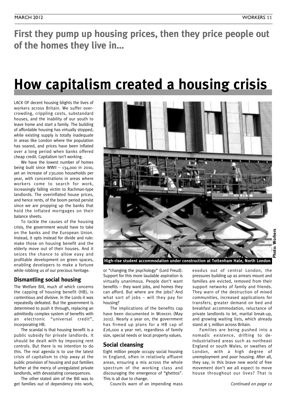**First they pump up housing prices, then they price people out of the homes they live in…**

### **How capitalism created a housing crisis**

LACK OF decent housing blights the lives of workers across Britain. We suffer overcrowding, crippling costs, substandard houses, and the inability of our youth to leave home and start a family. The building of affordable housing has virtually stopped, while existing supply is totally inadequate in areas like London where the population has soared, and prices have been inflated over a long period when banks offered cheap credit. Capitalism isn't working.

We have the lowest number of homes being built since WWII – 134,000 in 2010, yet an increase of 230,000 households per year, with concentrations in areas where workers come to search for work, increasingly falling victim to Rachman-type landlords. The overinflated house prices, and hence rents, of the boom period persist since we are propping up the banks that hold the inflated mortgages on their balance sheets.

To tackle the causes of the housing crisis, the government would have to take on the banks and the European Union. Instead, it opts instead for divide and rule: make those on housing benefit and the elderly move out of their houses. And it seizes the chance to allow easy and profitable development on green spaces, enabling developers to make a fortune while robbing us of our precious heritage.

#### **Dismantling social housing**

The Welfare Bill, much of which concerns the capping of housing benefit (HB), is contentious and divisive. In the Lords it was repeatedly defeated. But the government is determined to push it through, replacing an admittedly complex system of benefits with an electronic "universal credit", incorporating HB.

The scandal is that housing benefit is a public subsidy for private landlords. It should be dealt with by imposing rent controls. But there is no intention to do this. The real agenda is to use the latest crisis of capitalism to chip away at the public provision of housing and put families further at the mercy of unregulated private landlords, with devastating consequences.

The other stated aim of the Bill was to get families out of dependency into work,



**High-rise student accommodation under construction at Tottenham Hale, North London**

or "changing the psychology" (Lord Freud). Support for this more laudable aspiration is virtually unanimous. People don't want benefits – they want jobs, and homes they can afford. But where are the jobs? And what sort of jobs – will they pay for housing?

The implications of the benefits cap have been documented in WORKERS (May 2011). Nearly a year on, the government has firmed up plans for a HB cap of £26,000 a year net, regardless of family size, special needs or local property values.

#### **Social cleansing**

Eight million people occupy social housing in England, often in relatively affluent areas, ensuring a mix across the whole spectrum of the working class and discouraging the emergence of "ghettos". This is all due to change.

Councils warn of an impending mass

exodus out of central London, the pressures building up as arrears mount and families are evicted, removed from their support networks of family and friends. They warn of the destruction of mixed communities, increased applications for transfers, greater demand on bed and breakfast accommodation, reluctance of private landlords to let, marital break-up, and growing waiting lists, which already stand at 5 million across Britain.

Families are being pushed into a nomadic existence, drifting to deindustrialised areas such as northeast England or south Wales, or swathes of London, with a high degree of unemployment and poor housing. After all, they say, in this brave new world of free movement don't we all expect to move house throughout our lives? That is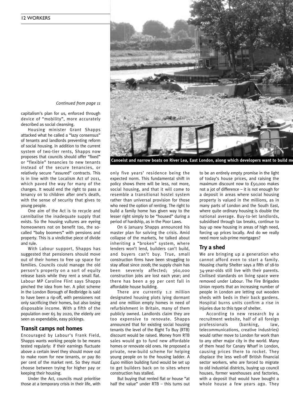

Canoeist and narrow boats on River Lea, East London, along which developers want to build m

*Continued from page <sup>11</sup>*

capitalism's plan for us, enforced through device of "mobility", more accurately described as social cleansing.

Housing minister Grant Shapps attacked what he called a "lazy consensus" of tenants and landlords preventing reform of social housing. In addition to the current system of two-tier rents, Shapps now proposes that councils should offer "fixed" or "flexible" tenancies to new tenants instead of the secure tenancies, or relatively secure "assured" contracts. This is in line with the Localism Act of 2011, which paved the way for many of the changes. It would end the right to pass a tenancy on to children after one's death, with the sense of security that gives to young people.

One aim of the Act is to recycle and cannibalise the inadequate supply that exists. So the housing vultures are eyeing homeowners not on benefit too, the socalled "baby boomers" with pensions and property. This is a vindictive piece of divide and rule.

With Labour support, Shapps has suggested that pensioners should move out of their homes to free up space for families. Councils could manage the old person's property on a sort of equity release basis while they rent a small flat. Labour MP Caroline Flint says Shapps pinched the idea from her. A pilot scheme in the London Borough of Redbridge is said to have been a rip-off, with pensioners not only sacrificing their homes, but also losing disposable income. With a fifth of the population over 65 by 2020, the elderly are seen as expendable, easy pickings.

#### **Transit camps not homes**

Encouraged by Labour's Frank Field, Shapps wants working people to be means tested regularly: if their earnings fluctuate above a certain level they should move out to make room for new tenants, or pay 80 per cent of the market rent. So they must choose between trying for higher pay or keeping their housing.

Under the Act, councils must prioritise those at a temporary crisis in their life, with only five years' residence being the expected norm. This fundamental shift in policy shows there will be less, not more, social housing, and that it will come to resemble a transitional hostel system rather than universal provision for those who need the option of renting. The right to build a family home has given way to the lesser right simply to be "housed" during a period of hardship, as in the Poor Laws.

On 6 January Shapps announced his master plan for solving the crisis. Amid collapse of the markets, he talked about inheriting a "broken" system, where lenders won't lend, builders can't build, and buyers can't buy. True, small construction firms have been struggling to stay afloat since 2008; the supply chain has been severely affected; 360,000 construction jobs are lost each year; and there has been a 99 per cent fall in affordable house building.

There are currently 1.2 million designated housing plots lying dormant and one million empty homes in need of refurbishment in Britain, many of them publicly owned. Landlords claim they are too expensive to renovate. Shapps announced that for existing social housing tenants the level of the Right To Buy (RTB) discount would be raised. Money from RTB sales would go to fund new affordable homes or renovate old ones. He proposed a private, new-build scheme for helping young people on to the housing ladder. A £400 million building fund would be set up to get builders back on to sites where construction has stalled.

But buying that rented flat or house "at half the value" under RTB – this turns out

to be an entirely empty promise in the light of today's house prices, and raising the maximum discount now to £50,000 makes not a jot of difference – it is not enough for a deposit in areas where social housing property is valued in the millions, as in many parts of London and the South East, where quite ordinary housing is double the national average. Buy-to-let landlords, subsidised through tax breaks, continue to buy up new housing in areas of high need, forcing up prices locally. And do we really need more sub-prime mortgages?

#### **Try a shed**

We are bringing up a generation who cannot afford even to start a family. Housing charity Shelter says a fifth of 18-to 34-year-olds still live with their parents. Civilised standards on living space were removed under Labour. The Fire Brigades Union reports that an increasing number of people in London are letting out wooden sheds with beds in their back gardens. Hospital burns units confirm a rise in injuries due to this type of shelter.

According to new research by a recruitment website, half of all foreign professionals (banking, law, telecommunications, creative industries) would rather move to London for work than to any other major city in the world. Many of them head for Canary Wharf in London, causing prices there to rocket. They displace the less well-off British financial sector workers, who are forced to migrate to old industrial districts, buying up council houses, former warehouses and factories, with a deposit that would have bought a whole house a few years ago. They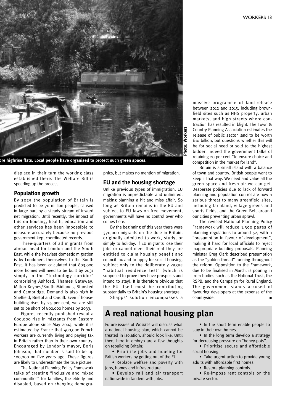

displace in their turn the working class established there. The Welfare Bill is speeding up the process.

#### **Population growth**

By 2025 the population of Britain is predicted to be 70 million people, caused in large part by a steady stream of inward net migration. Until recently, the impact of this on housing, health, education and other services has been impossible to measure accurately because no previous government kept coordinated records.

Three-quarters of all migrants from abroad head for London and the South East, while the heaviest domestic migration is by Londoners themselves to the South East. It has been calculated that 803,000 more homes will need to be built by 2031 simply in the "technology corridor" comprising Ashford, Thames Gateway, Milton Keynes/South Midlands, Stansted and Cambridge. Demand is also high in Sheffield, Bristol and Cardiff. Even if housebuilding rises by 25 per cent, we are still set to be short of 800,000 homes by 2033.

Figures recently published reveal a 600,000 rise in migrants from Eastern Europe alone since May 2004, while it is estimated by France that 400,000 French workers are currently living and paying tax in Britain rather than in their own country. Encouraged by London's mayor, Boris Johnson, that number is said to be up 100,000 on five years ago. These figures are likely to underestimate the true picture.

The National Planning Policy Framework talks of creating "inclusive and mixed communities" for families, the elderly and disabled, based on changing demographics, but makes no mention of migration.

#### **EU and the housing shortage**

Unlike previous types of immigration, EU migration is unpredictable and unlimited, making planning a hit and miss affair. So long as Britain remains in the EU and subject to EU laws on free movement, governments will have no control over who comes here.

By the beginning of this year there were 370,000 migrants on the dole in Britain, originally admitted to work, study, or simply to holiday. If EU migrants lose their jobs or cannot meet their rent they are entitled to claim housing benefit and council tax and to apply for social housing, subject only to the deliberately vague "habitual residence test" (which is supposed to prove they have prospects and intend to stay). It is therefore obvious that the EU itself must be contributing substantially to Britain's housing shortage.

Shapps' solution encompasses a

#### **A real national housing plan**

Future issues of WORKERS will discuss what a national housing plan, which cannot be treated in isolation, should look like. Until then, here in embryo are a few thoughts on rebuilding Britain:

• Prioritise jobs and housing for British workers by getting out of the EU.

• Replace welfare and poverty with jobs, homes and infrastructure.

• Develop rail and air transport nationwide in tandem with jobs.

massive programme of land-release between 2012 and 2015, including brownfield sites such as NHS property, urban markets, and high streets where contraction has resulted in blight. The Town & Country Planning Association estimates the release of public sector land to be worth £10 billion, but questions whether this will be for social need or sold to the highest bidder. Indeed the government talks of retaining 20 per cent "to ensure choice and competition in the market for land".

Britain is a small island with a balance of town and country. British people want to keep it that way. We need and value all the green space and fresh air we can get. Desperate policies due to lack of forward planning and population control are now a serious threat to many greenfield sites, including farmland, village greens and sports fields, and the Green Belt around our cities preventing urban sprawl.

The revised National Planning Policy Framework will reduce 1,300 pages of planning regulations to around 52, with a "presumption in favour of development", making it hard for local officials to reject inappropriate building proposals. Planning minister Greg Clark described presumption as the "golden thread" running throughout the reform. Opposition to the Framework, due to be finalised in March, is pouring in from bodies such as the National Trust, the RSPB, and the Campaign for Rural England. The government stands accused of favouring developers at the expense of the  $countr$ *yside.* 

• In the short term enable people to stay in their own homes.

• In the long term develop a strategy for decreasing pressure on "honey-pots".

• Prioritise secure and affordable social housing.

• Take urgent action to provide young adults with affordable first homes.

• Restore planning controls.

• Re-impose rent controls on the private sector.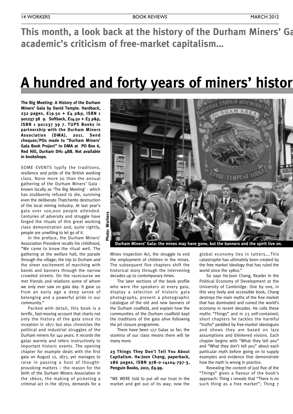**This** month, a look back at the history of the Durham Miners' Ga **academic's criticism of free-market capitalism…**

### **A hundred and forty years of miners' history**

**The Big Meeting: A History of the Durham Miners' Gala by David Temple. Hardback, 232 pages, £19.50 + £4 p&p, ISBN 1 901237 38 9. Softback, £14.50 + £3 p&p, ISBN 1 901237 39 7. TUPS Books in partnership with the Durham Miners Association (DMA), 2011. Send cheques/POs made to "Durham Miners' Gala Book Project" to DMA at PO Box 6, Red Hill, Durham DH1 4BB. Not available in bookshops.**

SOME EVENTS typify the traditions, resilience and pride of the British working class. None more so than the annual gathering of the Durham Miners' Gala known locally as 'The Big Meeting' - which has stubbornly refused to die, surviving even the deliberate Thatcherite destruction of the local mining industry. At last year's gala over 100,000 people attended. Centuries of adversity and struggle have forged the rituals of this great working class demonstration and, quite rightly, people are unwilling to let go of it.

In the preface, the Durham Miners' Association President recalls his childhood, "We came to know the ritual well. The gathering at the welfare hall; the parade through the village; the trip to Durham and the sheer excitement of marching with bands and banners through the narrow crowded streets. On the racecourse we met friends and relations some of whom we only ever saw on gala day. It gave us from an early age a deep sense of belonging and a powerful pride in our community."

Packed with detail, this book is a terrific, fast-moving account that charts not only the history of the gala since its inception in 1871 but also chronicles the political and industrial struggles of the Durham miners for 140 years. It records the galas warmly and refers instructively to important historic events. The opening chapter for example deals with the first gala on August 12, 1871, yet manages to raise in passing a host of thoughtprovoking matters – the reason for the birth of the Durham Miners Association in the 1860s, the making of picketing a criminal act in the 1870s, demands for a



Mines Inspection Act, the struggle to end the employment of children in the mines. The subsequent five chapters shift the historical story through the intervening decades up to contemporary times.

The later sections of the book profile who were the speakers at every gala, display a selection of historic gala photographs, present a photographic catalogue of the old and new banners of the Durham coalfield, and explain how the communities of the Durham coalfield kept the traditions of the gala alive following the pit closure programme.

There have been 127 Galas so far; the stamina of our class means there will be many more.

#### **23 Things They Don't Tell You About Capitalism. Ha-Joon Chang, paperback, 286 pages, ISBN 978-0-14104-797-3, Penguin Books, 2011, £9.99.**

"WE WERE told to put all our trust in the market and get out of its way; now the global economy lies in tatters….This catastrophe has ultimately been created by the free market ideology that has ruled the world since the 1980s."

So says Ha-Joon Chang, Reader in the Political Economy of Development at the University of Cambridge. One by one, in this very lively and accessible book, Chang destroys the main myths of the free market that has dominated and ruined the world's economy in recent decades. He calls these myths "Things" and in 23 self-contained, short chapters he tackles the harmful "truths" peddled by free-market ideologues and shows they are based on lazy assumptions and blinkered visions. Each chapter begins with "What they tell you" and "What they don't tell you" about each particular myth before going on to supply examples and evidence that demonstrate how the myth is wrong in practice.

Revealing the content of just five of the "Things" gives a flavour of the book's approach: Thing 1 reveals that "There is no such thing as a free market"; Thing 7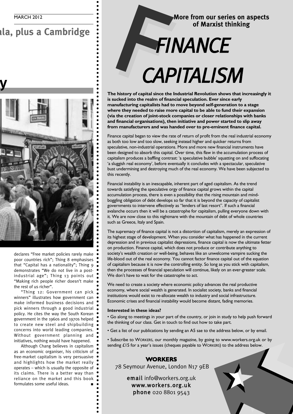**This month, a look back at the history of the Durham Miners' Gala, plus a Cambridge**



declares "Free market policies rarely make poor countries rich"; Thing 8 emphasises that "Capital has a nationality"; Thing 9 demonstrates "We do not live in a postindustrial age"; Thing 13 points out "Making rich people richer doesn't make the rest of us richer".

"Thing 12: Government can pick winners" illustrates how government can make informed business decisions and pick winners through a good industrial policy. He cites the way the South Korean government in the 1960s and 1970s helped to create new steel and shipbuilding concerns into world leading companies. Without government planning and initiatives, nothing would have happened.

Although Chang believes in capitalism as an economic organiser, his criticism of free-market capitalism is very persuasive and highlights how the market really operates – which is usually the opposite of its claims. There is a better way than reliance on the market and this book formulates some useful ideas.

#### **More from our series on aspects of Marxist thinking**

## *CAPITALISM*

F*FINANCE*

**The history of capital since the Industrial Revolution shows that increasingly it is sucked into the realm of financial speculation. Ever since early manufacturing capitalists had to move beyond self-generation to a stage where they needed to raise more capital to be able to fund their expansion (via the creation of joint-stock companies or closer relationships with banks and financial organisations), then initiative and power started to slip away from manufacturers and was handed over to pre-eminent finance capital.**

Finance capital began to view the rate of return of profit from the real industrial economy as both too low and too slow, seeking instead higher and quicker returns from speculative, non-industrial operations. More and more new financial instruments have been designed to absorb this capital. Over time, this flaw in the accumulation process of capitalism produces a baffling contrast: 'a speculative bubble' squatting on and suffocating 'a sluggish real economy', before eventually it concludes with a spectacular, speculative bust undermining and destroying much of the real economy. We have been subjected to this recently.

Financial instability is an inescapable, inherent part of aged capitalism. As the trend towards satisfying the speculative orgy of finance capital grows within the capital accumulation process, there is even a possibility that the rising mountain and mindboggling obligation of debt develops so far that it is beyond the capacity of capitalist governments to intervene effectively as "lenders of last resort". If such a financial avalanche occurs then it will be a catastrophe for capitalism, pulling everyone down with it. We are now close to this nightmare with the mountain of debt of whole countries such as Greece, Italy and Spain.

The supremacy of finance capital is not a distortion of capitalism, merely an expression of its highest stage of development. When you consider what has happened in the current depression and in previous capitalist depressions, finance capital is now the ultimate fetter on production. Finance capital, which does not produce or contribute anything to society's wealth creation or well-being, behaves like an unwelcome vampire sucking the life-blood out of the real economy. You cannot factor finance capital out of the equation of capitalism because it is now the controlling entity. So long as you stick with capitalism, then the processes of financial speculation will continue, likely on an ever-greater scale. We don't have to wait for the catastrophe to act.

We need to create a society where economic policy advances the real productive economy, where social wealth is generated. In socialist society, banks and financial institutions would exist to re-allocate wealth to industry and social infrastructure. Economic crises and financial instability would become distant, fading memories.

#### **Interested in these ideas?**

• Go along to meetings in your part of the country, or join in study to help push forward the thinking of our class. Get in touch to find out how to take part.

• Get a list of our publications by sending an A5 sae to the address below, or by email.

• Subscribe to WORKERS, our monthly magazine, by going to www.workers.org.uk or by sending £15 for a year's issues (cheques payable to WORKERS) to the address below.

#### **WORKERS**

78 Seymour Avenue, London N17 9EB

email info@workers.org.uk www.workers.org.uk phone 020 8801 9543